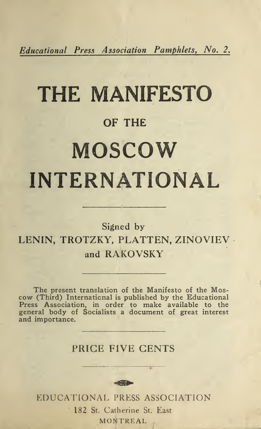Educational Press Association Pamphlets, No. 2.

# THE MANIFESTO OF THE MOSCOW INTERNATIONAL

# Signed by LENIN, TROTZKY, PLATTEN, ZINOVIEV and RAKOVSKY

The present translation of the Manifesto of the Moscow (Third) International is published by the Educational Press Association, in order to make available to the general body of Socialists a document of great interest and importance.

#### PRICE FIVE CENTS

EDUCATIONAL PRESS ASSOCIATION 182 St. Catherine St. East MONTREAL

 $-1.000000$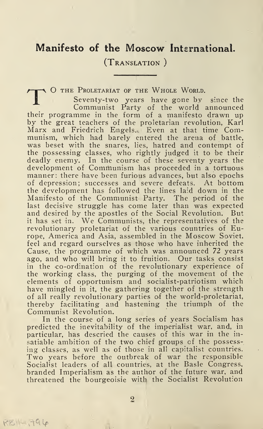### Manifesto of the Moscow International.

(Translation )

TO THE PROLETARIAT OF THE WHOLE WORLD.<br>
Seventy-two years have gone by since the<br>
Communist Party of the world announced their programme in the form of a manifesto drawn up by the great teachers of the proletarian revolution, Karl Marx and Friedrich Engels. Even at that time Communism, which had barely entered the arena of battle, was beset with the snares, lies, hatred and contempt of the possessing classes, who rightly judged it to be their deadly enemy. In the course of these seventy years the development of Communism has proceeded in a tortuous manner: there have been furious advances, but also epochs of depression; successes and severe defeats. At bottom the development has followed the lines laid down in the Manifesto of the Communist Party. The period of the last decisive struggle has come later than was expected and desired by the apostles of the Social Revolution. But it has set in. We Communists, the representatives of the revolutionary proletariat of the various countries of Europe, America and Asia, assembled in the Moscow Soviet, feel and regard ourselves as those who have inherited the Cause, the programme of which was announced 72 years ago, and who will bring it to fruition. Our tasks consist in the co-ordination of the revolutionary experience of the working class, the purging of the movement of the elements of opportunism and socialist-patriotism which have mingled in it, the gathering together of the strength of all really revolutionary parties of the world-proletariat, thereby facilitating and hastening the triumph of the Communist Revolution.

In the course of a long series of years Socialism has predicted the inevitability of the imperialist war, and, in particular, has descried the causes of this war in the insatiable ambition of the two chief groups of the possessing classes, as well as of those in all capitalist countries. Two years before the outbreak of war the responsible Socialist leaders of all countries, at the Basle Congress, branded Imperialism as the author of the future war, and threatened the bourgeoisie with the Socialist Revolution

 $R_{i}$  $i = 796$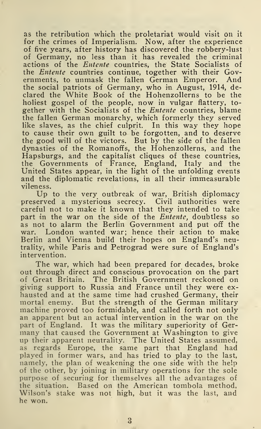as the retribution which the proletariat would visit on it for the crimes of Imperialism. Now, after the experience of five years, after history has discovered the robbery-lust of Germany, no less than it has revealed the criminal actions of the Entente countries, the State Socialists of the *Entente* countries continue, together with their Governments, to unmask the fallen German Emperor. And the social patriots of Germany, who in August, 1914, declared the White Book of the Hohenzollerns to be the holiest gospel of the people, now in vulgar flattery, together with the Socialists of the Entente countries, blame the fallen German monarchy, which formerly they served like slaves, as the chief culprit. In this way they hope to cause their own guilt to be forgotten, and to deserve the good will of the victors. But by the side of the fallen dynasties of the Romanoffs, the Hohenzollerns, and the Hapsburgs, and the capitalist cliques of these countries, the Governments of France, England, Italy and the United States appear, in the light of the unfolding events and the diplomatic revelations, in all their immeasurable vileness.

Up to the very outbreak of war, British diplomacy preserved a mysterious secrecy. Civil authorities were careful not to make it known that they intended to take part in the war on the side of the Entente, doubtless so as not to alarm the Berlin Government and put off the war. London wanted war; hence their action to make Berlin and Vienna build their hopes on England's neutrality, while Paris and Petrograd were sure of England's intervention.

The war, which had been prepared for decades, broke out through direct and conscious provocation on the part of Great Britain. The British Government reckoned on giving support to Russia and France until they were exhausted and at the same time had crushed Germany, their mortal enemy. But the strength of the German military machine proved too formidable, and called forth not only an apparent but an actual intervention in the war on the part of England. It was the military superiority of Germany that caused the Government at Washington to give up their apparent neutrality. The United States assumed, as regards Europe, the same part that England had played in former wars, and has tried to play to the last, namely, the plan of weakening the one side with the help of the other, by joining in military operations for the sole purpose of securing for themselves all the advantages of the situation. Based on the American tombola method, Wilson's stake was not high, but it was the last, and he won.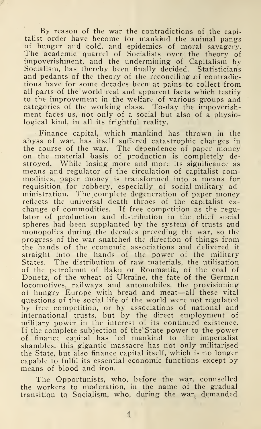By reason of the war the contradictions of the capitalist order have become for mankind the animal pangs of hunger and cold, and epidemics of moral savagery. The academic quarrel of Socialists over the theory of impoverishment, and the undermining of Capitalism by Socialism, has thereby been finally decided. Statisticians and pedants of the theory of the reconciling of contradictions have for some decades been at pains to collect from all parts of the world real and apparent facts which testify to the improvement in the welfare of various groups and<br>categories of the working class. To-day the impoverishment faces us, not only of a social but also of a physiological kind, in all its frightful reality.

Finance capital, which mankind has thrown in the abyss of war, has itself suffered catastrophic changes in the course of the war. The dependence of paper money on the material basis of production is completely destroyed. While losing more and more its significance as means and regulator of the circulation of capitalist commodities, paper money is transformed into a means for requisition for robbery, especially of social-military administration. The complete degeneration of paper money reflects the universal death throes of the capitalist exchange of commodities. If free competition as the regulator of production and distribution in the chief social spheres had been supplanted by the system of trusts and monopolies during the decades preceding the war, so the progress of the war snatched the direction of things from the hands of the economic associations and delivered it straight into the hands of the power of the military States. The distribution of raw materials, the utilisation of the petroleum of Baku or Roumania, of the coal of Donetz, of the wheat of Ukraine, the fate of the German locomotives, railways and automobiles, the provisioning of hungry Europe with bread and meat—all these vital questions of the social life of the world were not regulated by free competition, or by associations of national and international trusts, but by the direct employment of military power in the interest of its continued existence. If the complete subjection of the State power to the power of finance capital has led mankind to the imperialist shambles, this gigantic massacre has not only militarised the State, but also finance capital itself, which is no longer capable to fulfil its essential economic functions except by means of blood and iron.

The Opportunists, who, before the war, counselled the workers to moderation, in the name of the gradual transition to Socialism, who, during the war, demanded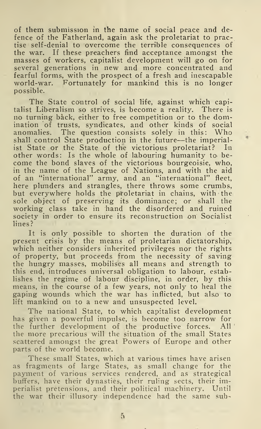of them submission in the name of social peace and de fence of the Fatherland, again ask the proletariat to practise self-denial to overcome the terrible consequences of the war. If these preachers find acceptance amongst the masses of workers, capitalist development will go on for several generations in new and more concentrated and fearful forms, with the prospect of a fresh and inescapable world-war. Fortunately for mankind this is no longer possible.

The State control of social life, against which capitalist Liberalism so strives, is become a reality. There is no turning back, either to free competition or to the dom ination of trusts, syndicates, and other kinds of social anomalies. The question consists solely in this: Who shall control State production in the future—the imperialist State or the State of the victorious proletariat? In other words: Is the whole of labouring humanity to become the bond slaves of the victorious bourgeoisie, who, in the name of the League of Nations, and with the aid of an "international" army, and an "international" fleet, here plunders and strangles, there throws some crumbs, but everywhere holds the proletariat in chains, with the sole object of preserving its dominance; or shall the working class take in hand the disordered and ruined society in order to ensure its reconstruction on Socialist lines?

It is only possible to shorten the duration of the present crisis by the means of proletarian dictatorship, which neither considers inherited privileges nor the rights of property, but proceeds from the necessity of saving the hungry masses, mobilises all means and strength to this end, introduces universal obligation to labour, establishes the regime of labour discipline, in order, by this means, in the course of a few years, not only to heal the gaping wounds which the war has inflicted, but also to lift mankind on to a new and unsuspected level.

The national State, to which capitalist development has given a powerful impulse, is become too narrow for the further development of the productive forces. All the more precarious will the situation of the small States scattered amongst the great Powers of Europe and other parts of the world become.

These small States, which at various times have arisen as fragments of large States, as small change for the payment of various services rendered, and as strategical<br>buffers, have their dynasties, their ruling sects, their imperialist pretensions, and their political machinery. Until the war their illusory independence had the same sub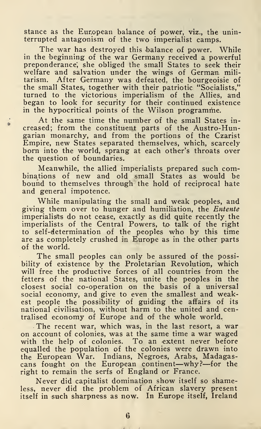stance as the European balance of power, viz., the uninterrupted antagonism of the two imperialist camps.

The war has destroyed this balance of power. While in the beginning of the war Germany received a powerful preponderance', she obliged the small States to seek their welfare and salvation under the wings of German militarism. After Germany was defeated, the bourgeoisie of the small States, together with their patriotic "Socialists," turned to the victorious imperialism of the Allies, and began to look for security for their continued existence in the hypocritical points of the Wilson programme.

At the same time the number of the small States increased; from the constituent parts of the Austro-Hungarian monarchy, and from the portions of the Czarist Empire, new States separated themselves, which, scarcely born into the world, sprang at each other's throats over the question of boundaries.

Meanwhile, the allied imperialists prepared such com binations of new and old small States as would be bound to themselves through the hold of reciprocal hate and general impotence.

While manipulating the small and weak peoples, and giving them over to hunger and humiliation, the Entente imperialists do not cease, exactly as did quite recently the imperialists of the Central Powers, to talk of the right to self-determination of the peoples who by this time are as completely crushed in Europe as in the other parts of the world.

The small peoples can only be assured of the possibility of existence by the Proletarian Revolution, which will free the productive forces of all countries from the fetters of the national States, unite the peoples in the closest social co-operation on the basis of a universal social economy, and give to even the smallest and weakest people the possibility of guiding the affairs of its national civilisation, without harm to the united and centralised economy of Europe and of the whole world.

The recent war, which was, in the last resort, a war on account of colonies, was at the same time a war waged with the help of colonies. To an extent never before equalled the population of the colonies were drawn into the European War. Indians, Negroes, Arabs, Madagascans fought on the European continent—why?—for the right to remain the serfs of England or France.

Never did capitalist domination show itself so shameless, never did the problem of African slavery present itself in such sharpness as now. In Europe itself, Ireland

6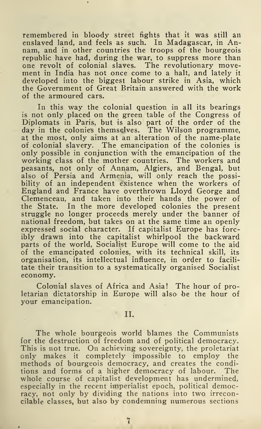remembered in bloody street fights that it was still an enslaved land, and feels as such. In Madagascar, in Annam, and in other countries the troops of the bourgeois republic have had, during the war, to suppress more than<br>one revolt of colonial slaves. The revolutionary move-The revolutionary movement in India has not once come to a halt, and lately it developed into the biggest labour strike in Asia, which the Government of Great Britain answered with the work of the armoured cars.

In this way the colonial question in all its bearings is not only placed on the green table of the Congress of Diplomats in Paris, but is also part of the order of the day in the colonies themselves. The Wilson programme, at the most, only aims at an alteration of the name-plate of colonial slavery. The emancipation of the colonies is only possible in conjunction with the emancipation of the working class of the mother countries. The workers and peasants, not only of Annam, Algiers, and Bengal, but also of Persia and Armenia, will only reach the possibility of an independent existence when the workers of England and France have overthrown Lloyd George and Clemenceau, and taken into their hands the power of the State. In the more developed colonies the present struggle no longer proceeds merely under the banner of national freedom, but takes on at the same time an openly expressed social character. If capitalist Europe has forcibly drawn into the capitalist whirlpool the backward parts of the world, Socialist Europe will come to the aid of the emancipated colonies, with its technical skill, its organisation, its intellectual influence, in order to facilitate their transition to a systematically organised Socialist economy.

Colonial slaves of Africa and Asia! The hour of proletarian dictatorship in Europe will also' be the hour of your emancipation.

#### II.

The whole bourgeois world blames the Communists for the destruction of freedom and of political democracy. This is not true. On achieving sovereignty, the proletariat only makes it completely impossible to employ the methods of bourgeois democracy, and creates the conditions and forms of a higher democracy of labour. The whole course of capitalist development has undermined, especially in the recent imperialist epoch, political democracy, not only by dividing the nations into two irreconcilable classes, but also by condemning numerous sections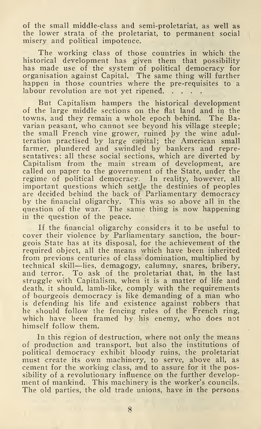of the small middle-class and semi-proletariat, as well as the lower strata of the proletariat, to permanent social misery and political impotence.

The working class of those countries in which the historical development has given them that possibility has made use of the system of political democracy for organisation against Capital. The same thing will further happen in those countries where the pre-requisites to a labour revolution are 'not yet ripened.

But Capitalism hampers the historical development of the large middle sections on the flat land and in the towns, and they remain a whole epoch behind. The Bavarian peasant, who cannot see beyond his village steeple; the small French vine grower, ruined by the wine adulteration practised by large capital; the American small farmer, plundered and swindled by bankers and representatives: all these social sections, which are diverted by Capitalism from the main stream of development, are called on paper to the government of the State, under the regime of political democracy. In reality, however, all important questions which settle the destinies of peoples are decided behind the back of Parliamentary democracy by the financial oligarchy. This was so above all in the question of the war. The same thing is now happening in the question of the peace.

If the financial oligarchy considers it to be useful to coyer their violence by Parliamentary sanction, the bourgeois State has at its disposal, for the achievement of the required object, all the means which have been inherited from previous centuries of class domination, multiplied by technical skill—lies, demagogy, calumny, snares, bribery, and terror. To ask of the proletariat that, in the last struggle with Capitalism, when it is a matter of life and death, it should, lamb-like, comply with the requirements of bourgeois democracy is like demanding of a man who is defending his life and existence against robbers that he should follow the fencing rules of the French ring, which have been framed by his enemy, who does not himself follow them.

In this region of destruction, where not only the means of production and transport, but also the institutions of political democracy exhibit bloody ruins, the proletariat must create its own machinery, to serve, above all, as cement for the working class, and to assure for it the possibility of a revolutionary influence on the further development of mankind. This machinery is the worker's councils. The old parties, the old trade unions, have in the persons

8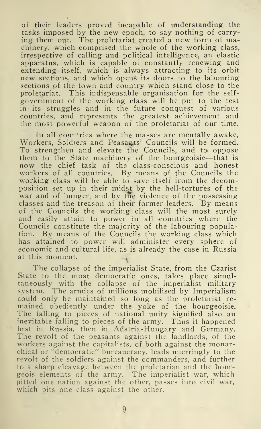of their leaders proved incapable of understanding the tasks imposed by the new epoch, to say nothing of carrying them out. The proletariat created a new form of machinery, which comprised the whole of the working class, irrespective of calling and political intelligence, an elastic apparatus, which is capable of constantly renewing and extending itself, which is always attracting to its orbit new sections, and which opens its doors to the labouring sections of the town and country which stand close to the proletariat. This indispensable organisation for the selfgovernment of the working class will be put to the test in its struggles and in the future conquest of various countries, and represents the greatest achievement and the most powerful weapon of the proletariat of our time.

In all countries where the masses are mentally awake, Workers, Soldiers and Peasants' Councils will be formed. To strengthen and elevate the Councils, and to oppose them to the State machinery of the bourgeoisie—that is now the chief task of the class-conscious and honest workers of all countries. By means of the Councils the working class will be able to save itself from the decomposition set up in their midst by the hell-tortures of the war and of hunger, and by the violence of the possessing classes and the treason of their former leaders. By means of the Councils the working class will the most surely and easily attain to power in all countries where the Councils constitute the majority of the labouring population. By means of the Councils the working class which has attained to power will administer every sphere of economic and cultural life, as is already the case in Russia at this moment. ^

The collapse of the imperialist State, from the Czarist State to the most democratic ones, takes place simultaneously with the collapse of the imperialist military system. The armies of millions mobilised by Imperialism could only be maintained so long as the proletariat remained obediently under the yoke of the bourgeoisie. The falling to pieces of national unity signified also an inevitable falling to pieces of the army. Thus it happened first in Russia, then in Austria-Hungary and Germany. The revolt of the peasants against the landlords, of the workers against the capitalists, of both against the monarchical or "democratic" bureaucracy, leads unerringly to the revolt of the soldiers against the commanders, and further to a sharp cleavage between the proletarian and the bourgeois elements of the army. The imperialist war, which pitted one nation against the other, passes into civil war, which pits one class against the other.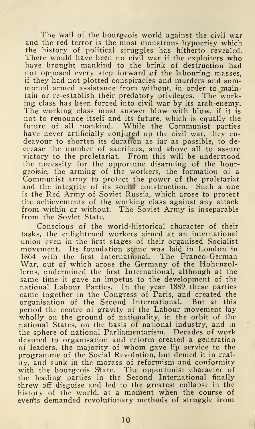The wail of the bourgeois world against the civil war and the red terror is the most monstrous hypocrisy which the history of political struggles has hitherto revealed. There would have been no civil war if the exploiters who have brought mankind to the brink of destruction had not opposed every step forward of the labouring masses. if they had not plotted conspiracies and murders and summoned armed assistance from without, in order to maintain or re-establish their predatory privileges. The working class has been forced into civil war by its arch-enemy. The working class must answer blow with blow, if it is not to renounce itself and its future, which is equally the future of all mankind. While the Communist parties have never artificially conjured up the civil war, they endeavour to shorten its duration as far as possible, to decrease the number of sacrifices, and above all to assure victory to the proletariat. From this will be understood the necessity for the opportune disarming of the bourgeoisie, the arming of the workers, the formation of a Communist army to protect the power of the proletariat and the integrity of its social construction. Such a one is the Red Army of Soviet Russia, which arose to protect the achievements of the working class against any attack from within or without. The Soviet Army is inseparable from the Soviet State.

Conscious of the world-historical character of their tasks, 'the enlightened workers aimed at an international union even in the first stages of their organised Socialist movement. Its foundation stone was laid in London in 1864 with the first International. The Franco-German 1864 with the first International. War, out of which arose the Germany of the Hohenzollerns, undermined the first International, although at the same time it gave an impetus to the development of the national Labour Parties. In the year 1889 these parties came together in the Congress of Paris, and created the organisation of 'the Second International. But at this period the centre of gravity of the Labour movement lay wholly on the ground of nationality, in the orbit of the national States, on the basis of national industry, and in the sphere of national Parliamentarism. Decades of work devoted to organisation and reform created a generation of leaders, the majority of whom gave lip service to the programme of the Social Revolution, but denied it in reality, and sunk in the morass of reformism and conformity with the bourgeois State. The opportunist character of the leading parties in the Second International finally threw off disguise and led to the greatest collapse in the history of the world, at a moment when the course of events demanded revolutionary methods of struggle from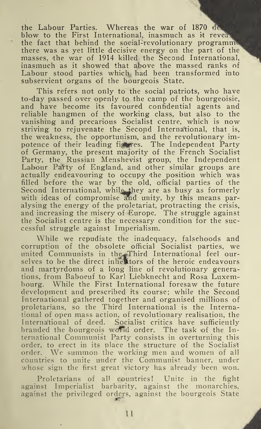the Labour Parties. Whereas the war of 1870 blow to the First International, inasmuch as it reveal the fact that behind the social-revolutionary programme there was as yet little decisive energy on the part of the masses, the war of 1914 killed the Second International, inasmuch as it showed that above the massed ranks of Labour stood parties which had been transformed into subservient organs of the bourgeois State.

This refers not only to the social patriots, who have to-day passed over openly to the camp of the bourgeoisie, and have become its favoured confidential agents and reliable hangmen of the working class, but also to the vanishing and precarious Socialist centre, which is now striving to rejuvenate the Second International, that is, the weakness, the opportunism, and the revolutionary impotence of their leading figures. The Independent Party of Germany, the present majority of the French Socialist-Party, the Russian Menshevist group, the Independent Labour Party of England, and other similar groups are actually endeavouring to occupy the position which was filled before the war by the old, official parties of the Second International, while they are as busy as formerly with ideas of compromise and unity, by this means paralysing the energy of the proletariat, protracting the crisis, and increasing the misery of Europe. The struggle against the Socialist centre is the necessary condition for the successful struggle against Imperialism.

While we repudiate the inadequacy, falsehoods and corruption of the obsolete official Socialist parties, we united Communists in the Filial Socialist parties, we selves to be the direct inhertors of the heroic endeavours and martyrdoms of a long line of revolutionary generations, from Baboeuf to Karl Liebknecht and Rosa Luxem-<br>bourg. While the First International foresaw the future While the First International foresaw the future development and prescribed its course; while the Second International gathered together and organised millions of proletarians, so the Third International is the International of open mass action, of revolutionary realisation, the International of deed. Socialist critics have sufficiently branded the bourgeois world order. The task of the International Communist Party consists in overturning this order, to erect in its place the structure of the Socialist order. We summon the working men and women of all countries to unite under the Communist banner, under whose sign the first great victory has already been won.

Proletarians of all countries! Unite in the fight against Imperialist barbarity, against the monarchies, against the privileged orders, against the bourgeois State